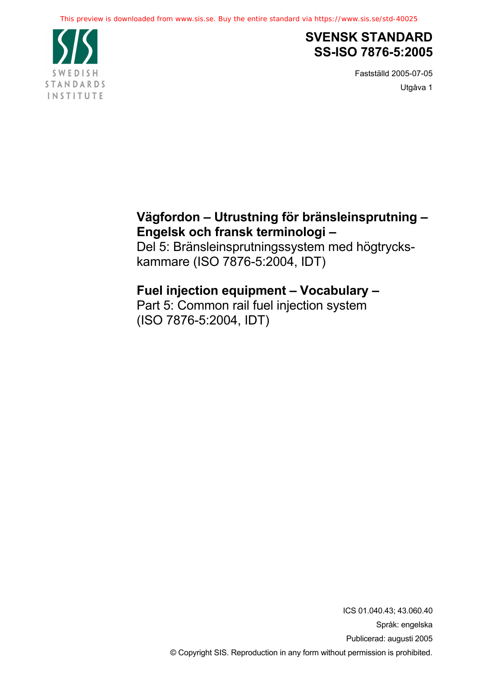

# **SVENSK STANDARD SS-ISO 7876-5:2005**

Fastställd 2005-07-05 Utgåva 1

# **Vägfordon – Utrustning för bränsleinsprutning – Engelsk och fransk terminologi –**

Del 5: Bränsleinsprutningssystem med högtryckskammare (ISO 7876-5:2004, IDT)

# **Fuel injection equipment – Vocabulary –**

Part 5: Common rail fuel injection system (ISO 7876-5:2004, IDT)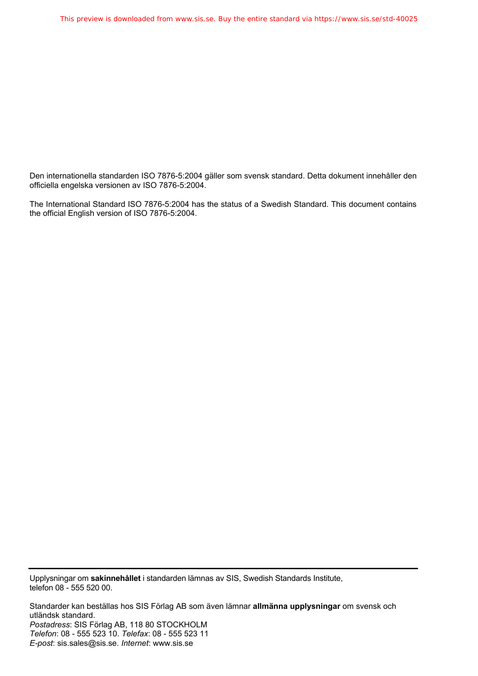Den internationella standarden ISO 7876-5:2004 gäller som svensk standard. Detta dokument innehåller den officiella engelska versionen av ISO 7876-5:2004.

The International Standard ISO 7876-5:2004 has the status of a Swedish Standard. This document contains the official English version of ISO 7876-5:2004.

Upplysningar om **sakinnehållet** i standarden lämnas av SIS, Swedish Standards Institute, telefon 08 - 555 520 00.

Standarder kan beställas hos SIS Förlag AB som även lämnar **allmänna upplysningar** om svensk och utländsk standard. *Postadress*: SIS Förlag AB, 118 80 STOCKHOLM *Telefon*: 08 - 555 523 10. *Telefax*: 08 - 555 523 11 *E-post*: sis.sales@sis.se. *Internet*: www.sis.se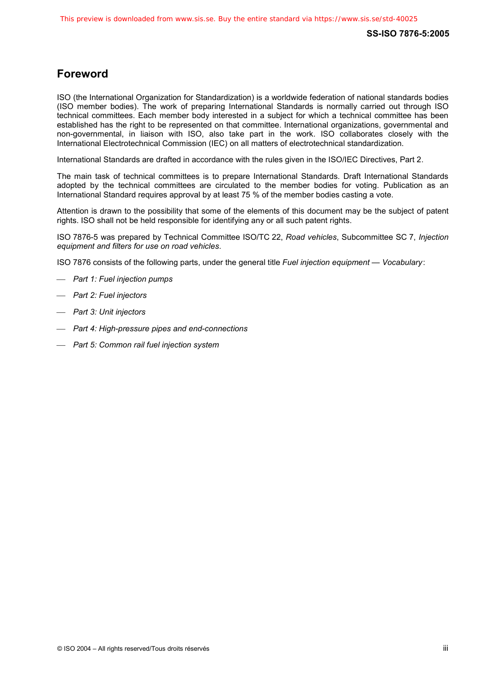**SS-ISO 7876-5:2005**

## **Foreword**

ISO (the International Organization for Standardization) is a worldwide federation of national standards bodies (ISO member bodies). The work of preparing International Standards is normally carried out through ISO technical committees. Each member body interested in a subject for which a technical committee has been established has the right to be represented on that committee. International organizations, governmental and non-governmental, in liaison with ISO, also take part in the work. ISO collaborates closely with the International Electrotechnical Commission (IEC) on all matters of electrotechnical standardization.

International Standards are drafted in accordance with the rules given in the ISO/IEC Directives, Part 2.

The main task of technical committees is to prepare International Standards. Draft International Standards adopted by the technical committees are circulated to the member bodies for voting. Publication as an International Standard requires approval by at least 75 % of the member bodies casting a vote.

Attention is drawn to the possibility that some of the elements of this document may be the subject of patent rights. ISO shall not be held responsible for identifying any or all such patent rights.

ISO 7876-5 was prepared by Technical Committee ISO/TC 22, *Road vehicles*, Subcommittee SC 7, *Injection equipment and filters for use on road vehicles*.

ISO 7876 consists of the following parts, under the general title *Fuel injection equipment — Vocabulary*:

- *Part 1: Fuel injection pumps*
- *Part 2: Fuel injectors*
- *Part 3: Unit injectors*
- *Part 4: High-pressure pipes and end-connections*
- *Part 5: Common rail fuel injection system*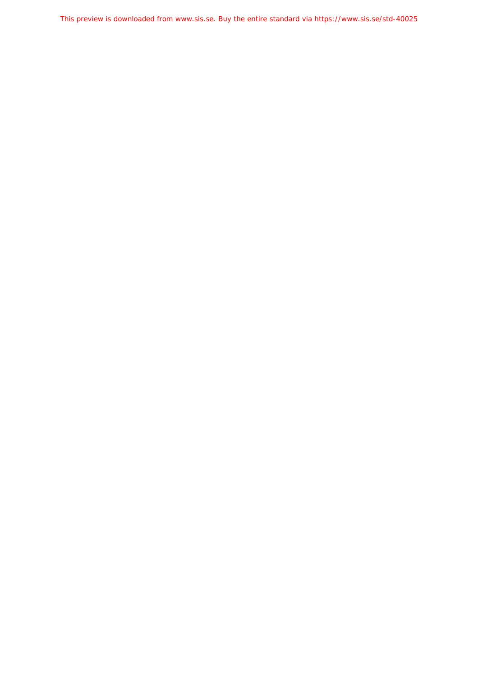This preview is downloaded from www.sis.se. Buy the entire standard via https://www.sis.se/std-40025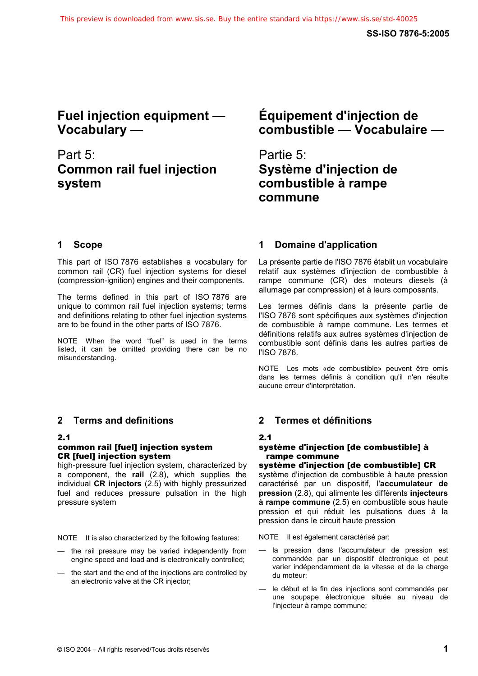# **Fuel injection equipment — Vocabulary —**

# Part 5: **Common rail fuel injection system**

# **Équipement d'injection de combustible — Vocabulaire —**

# Partie 5: **Système d'injection de combustible à rampe commune**

This part of ISO 7876 establishes a vocabulary for common rail (CR) fuel injection systems for diesel (compression-ignition) engines and their components.

The terms defined in this part of ISO 7876 are unique to common rail fuel injection systems; terms and definitions relating to other fuel injection systems are to be found in the other parts of ISO 7876.

NOTE When the word "fuel" is used in the terms listed, it can be omitted providing there can be no misunderstanding.

## **2 Terms and definitions 2 Termes et définitions**

### 2.1

## common rail [fuel] injection system CR [fuel] injection system

high-pressure fuel injection system, characterized by a component, the **rail** (2.8), which supplies the individual **CR injectors** (2.5) with highly pressurized fuel and reduces pressure pulsation in the high pressure system

NOTE It is also characterized by the following features:

- the rail pressure may be varied independently from engine speed and load and is electronically controlled;
- the start and the end of the injections are controlled by an electronic valve at the CR injector;

## **1 Scope 1 Domaine d'application**

 La présente partie de l'ISO 7876 établit un vocabulaire relatif aux systèmes d'injection de combustible à rampe commune (CR) des moteurs diesels (à allumage par compression) et à leurs composants.

Les termes définis dans la présente partie de l'ISO 7876 sont spécifiques aux systèmes d'injection de combustible à rampe commune. Les termes et définitions relatifs aux autres systèmes d'injection de combustible sont définis dans les autres parties de l'ISO 7876.

NOTE Les mots «de combustible» peuvent être omis dans les termes définis à condition qu'il n'en résulte aucune erreur d'interprétation.

#### 2.1

#### système d'injection [de combustible] à rampe commune

#### système d'injection [de combustible] CR

système d'injection de combustible à haute pression caractérisé par un dispositif, l'**accumulateur de pression** (2.8), qui alimente les différents **injecteurs à rampe commune** (2.5) en combustible sous haute pression et qui réduit les pulsations dues à la pression dans le circuit haute pression

NOTE Il est également caractérisé par:

- la pression dans l'accumulateur de pression est commandée par un dispositif électronique et peut varier indépendamment de la vitesse et de la charge du moteur;
- le début et la fin des injections sont commandés par une soupape électronique située au niveau de l'injecteur à rampe commune;